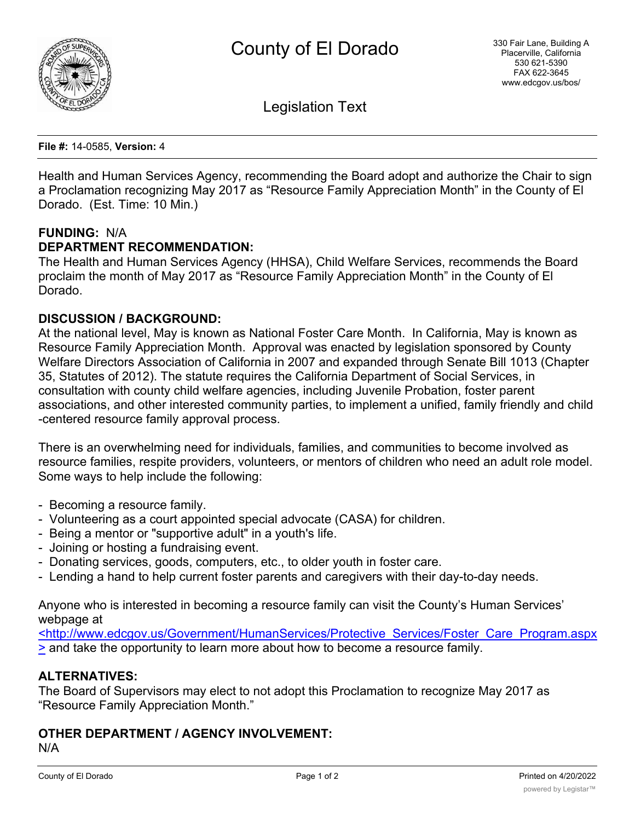

Legislation Text

**File #:** 14-0585, **Version:** 4

Health and Human Services Agency, recommending the Board adopt and authorize the Chair to sign a Proclamation recognizing May 2017 as "Resource Family Appreciation Month" in the County of El Dorado. (Est. Time: 10 Min.)

## **FUNDING:** N/A

#### **DEPARTMENT RECOMMENDATION:**

The Health and Human Services Agency (HHSA), Child Welfare Services, recommends the Board proclaim the month of May 2017 as "Resource Family Appreciation Month" in the County of El Dorado.

#### **DISCUSSION / BACKGROUND:**

At the national level, May is known as National Foster Care Month. In California, May is known as Resource Family Appreciation Month. Approval was enacted by legislation sponsored by County Welfare Directors Association of California in 2007 and expanded through Senate Bill 1013 (Chapter 35, Statutes of 2012). The statute requires the California Department of Social Services, in consultation with county child welfare agencies, including Juvenile Probation, foster parent associations, and other interested community parties, to implement a unified, family friendly and child -centered resource family approval process.

There is an overwhelming need for individuals, families, and communities to become involved as resource families, respite providers, volunteers, or mentors of children who need an adult role model. Some ways to help include the following:

- Becoming a resource family.
- Volunteering as a court appointed special advocate (CASA) for children.
- Being a mentor or "supportive adult" in a youth's life.
- Joining or hosting a fundraising event.
- Donating services, goods, computers, etc., to older youth in foster care.
- Lending a hand to help current foster parents and caregivers with their day-to-day needs.

Anyone who is interested in becoming a resource family can visit the County's Human Services' webpage at

<http://www.edcgov.us/Government/HumanServices/Protective\_Services/Foster\_Care\_Program.aspx > and take the opportunity to learn more about how to become a resource family.

## **ALTERNATIVES:**

The Board of Supervisors may elect to not adopt this Proclamation to recognize May 2017 as "Resource Family Appreciation Month."

# **OTHER DEPARTMENT / AGENCY INVOLVEMENT:**

N/A